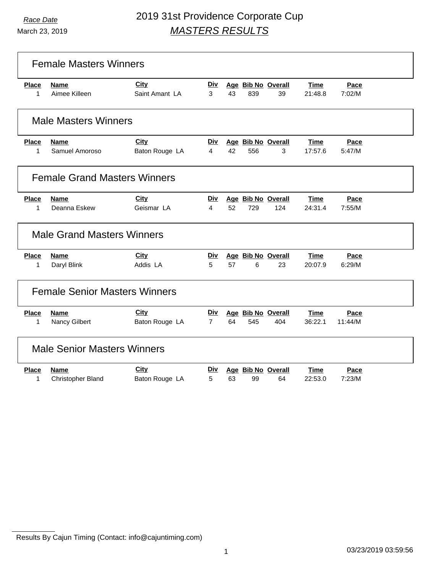March 23, 2019

|                                     | <b>Female Masters Winners</b>           |                               |                              |    |     |                           |                        |                 |  |
|-------------------------------------|-----------------------------------------|-------------------------------|------------------------------|----|-----|---------------------------|------------------------|-----------------|--|
| <b>Place</b><br>$\mathbf{1}$        | <b>Name</b><br>Aimee Killeen            | <b>City</b><br>Saint Amant LA | <u>Div</u><br>3              | 43 | 839 | Age Bib No Overall<br>39  | Time<br>21:48.8        | Pace<br>7:02/M  |  |
| <b>Male Masters Winners</b>         |                                         |                               |                              |    |     |                           |                        |                 |  |
| <b>Place</b><br>1                   | <b>Name</b><br>Samuel Amoroso           | City<br>Baton Rouge LA        | Div.<br>4                    | 42 | 556 | Age Bib No Overall<br>3   | <b>Time</b><br>17:57.6 | Pace<br>5:47/M  |  |
| <b>Female Grand Masters Winners</b> |                                         |                               |                              |    |     |                           |                        |                 |  |
| <b>Place</b><br>$\mathbf 1$         | <b>Name</b><br>Deanna Eskew             | City<br>Geismar LA            | <b>Div</b><br>4              | 52 | 729 | Age Bib No Overall<br>124 | Time<br>24:31.4        | Pace<br>7:55/M  |  |
| <b>Male Grand Masters Winners</b>   |                                         |                               |                              |    |     |                           |                        |                 |  |
| <b>Place</b><br>1                   | <b>Name</b><br>Daryl Blink              | City<br>Addis LA              | Div<br>5                     | 57 | 6   | Age Bib No Overall<br>23  | <b>Time</b><br>20:07.9 | Pace<br>6:29/M  |  |
|                                     | <b>Female Senior Masters Winners</b>    |                               |                              |    |     |                           |                        |                 |  |
| <b>Place</b><br>1                   | <b>Name</b><br>Nancy Gilbert            | <b>City</b><br>Baton Rouge LA | <u>Div</u><br>$\overline{7}$ | 64 | 545 | Age Bib No Overall<br>404 | Time<br>36:22.1        | Pace<br>11:44/M |  |
|                                     | <b>Male Senior Masters Winners</b>      |                               |                              |    |     |                           |                        |                 |  |
| <b>Place</b><br>1                   | <b>Name</b><br><b>Christopher Bland</b> | <b>City</b><br>Baton Rouge LA | <u>Div</u><br>5              | 63 | 99  | Age Bib No Overall<br>64  | Time<br>22:53.0        | Pace<br>7:23/M  |  |

Results By Cajun Timing (Contact: info@cajuntiming.com)